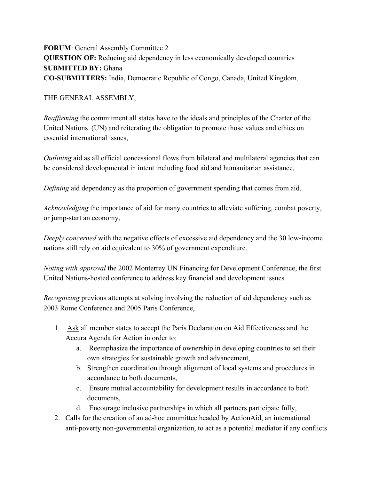**FORUM**: General Assembly Committee 2 **QUESTION OF:** Reducing aid dependency in less economically developed countries **SUBMITTED BY:** Ghana **CO-SUBMITTERS:** India, Democratic Republic of Congo, Canada, United Kingdom,

THE GENERAL ASSEMBLY,

*Reaffirming* the commitment all states have to the ideals and principles of the Charter of the United Nations (UN) and reiterating the obligation to promote those values and ethics on essential international issues,

*Outlining* aid as all official concessional flows from bilateral and multilateral agencies that can be considered developmental in intent including food aid and humanitarian assistance,

*Defining* aid dependency as the proportion of government spending that comes from aid,

*Acknowledging* the importance of aid for many countries to alleviate suffering, combat poverty, or jump-start an economy,

*Deeply concerned* with the negative effects of excessive aid dependency and the 30 low-income nations still rely on aid equivalent to 30% of government expenditure.

*Noting with approval* the 2002 Monterrey UN Financing for Development Conference, the first United Nations-hosted conference to address key financial and development issues

*Recognizing* previous attempts at solving involving the reduction of aid dependency such as 2003 Rome Conference and 2005 Paris Conference,

- 1. Ask all member states to accept the Paris Declaration on Aid Effectiveness and the Accura Agenda for Action in order to:
	- a. Reemphasize the importance of ownership in developing countries to set their own strategies for sustainable growth and advancement,
	- b. Strengthen coordination through alignment of local systems and procedures in accordance to both documents,
	- c. Ensure mutual accountability for development results in accordance to both documents,
	- d. Encourage inclusive partnerships in which all partners participate fully,
- 2. Calls for the creation of an ad-hoc committee headed by ActionAid, an international anti-poverty non-governmental organization, to act as a potential mediator if any conflicts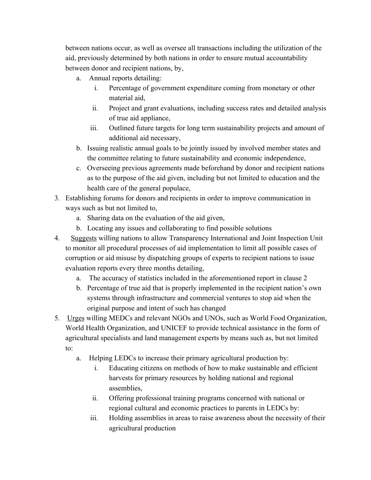between nations occur, as well as oversee all transactions including the utilization of the aid, previously determined by both nations in order to ensure mutual accountability between donor and recipient nations, by,

- a. Annual reports detailing:
	- i. Percentage of government expenditure coming from monetary or other material aid,
	- ii. Project and grant evaluations, including success rates and detailed analysis of true aid appliance,
	- iii. Outlined future targets for long term sustainability projects and amount of additional aid necessary,
- b. Issuing realistic annual goals to be jointly issued by involved member states and the committee relating to future sustainability and economic independence,
- c. Overseeing previous agreements made beforehand by donor and recipient nations as to the purpose of the aid given, including but not limited to education and the health care of the general populace,
- 3. Establishing forums for donors and recipients in order to improve communication in ways such as but not limited to,
	- a. Sharing data on the evaluation of the aid given,
	- b. Locating any issues and collaborating to find possible solutions
- 4. Suggests willing nations to allow Transparency International and Joint Inspection Unit to monitor all procedural processes of aid implementation to limit all possible cases of corruption or aid misuse by dispatching groups of experts to recipient nations to issue evaluation reports every three months detailing,
	- a. The accuracy of statistics included in the aforementioned report in clause 2
	- b. Percentage of true aid that is properly implemented in the recipient nation's own systems through infrastructure and commercial ventures to stop aid when the original purpose and intent of such has changed
- 5. Urges willing MEDCs and relevant NGOs and UNOs, such as World Food Organization, World Health Organization, and UNICEF to provide technical assistance in the form of agricultural specialists and land management experts by means such as, but not limited to:
	- a. Helping LEDCs to increase their primary agricultural production by:
		- i. Educating citizens on methods of how to make sustainable and efficient harvests for primary resources by holding national and regional assemblies,
		- ii. Offering professional training programs concerned with national or regional cultural and economic practices to parents in LEDCs by:
		- iii. Holding assemblies in areas to raise awareness about the necessity of their agricultural production